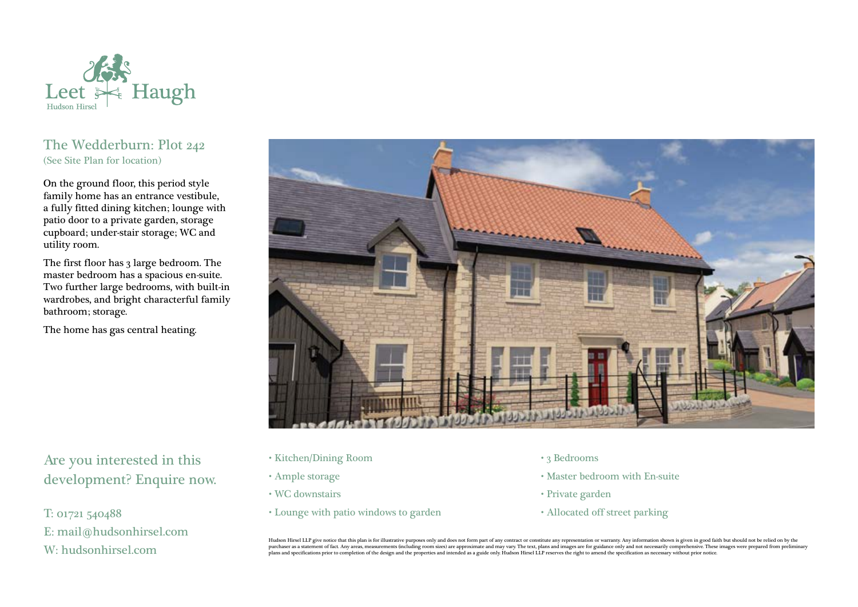

## The Wedderburn: Plot 242 (See Site Plan for location)

On the ground floor, this period style family home has an entrance vestibule, a fully fitted dining kitchen; lounge with patio door to a private garden, storage cupboard; under-stair storage; WC and utility room.

The first floor has 3 large bedroom. The master bedroom has a spacious en-suite. Two further large bedrooms, with built-in wardrobes, and bright characterful family bathroom; storage.

The home has gas central heating.



Are you interested in this development? Enquire now.

T: 01721 540488 E: mail@hudsonhirsel.com W: hudsonhirsel.com

- Kitchen/Dining Room
- Ample storage
- WC downstairs
- Lounge with patio windows to garden
- 3 Bedrooms
- Master bedroom with En-suite
- Private garden
- Allocated off street parking

Hudson Hirsel LLP give notice that this plan is for illustrative purposes only and does not form part of any contract or constitute any representation or warranty. Any information shown is given in good faith but should no purchaser as a statement of fact. Any areas, measurements (including room sizes) are approximate and may vary. The text, plans and images are for guidance only and not necessarily comprehensive. These images were prepared